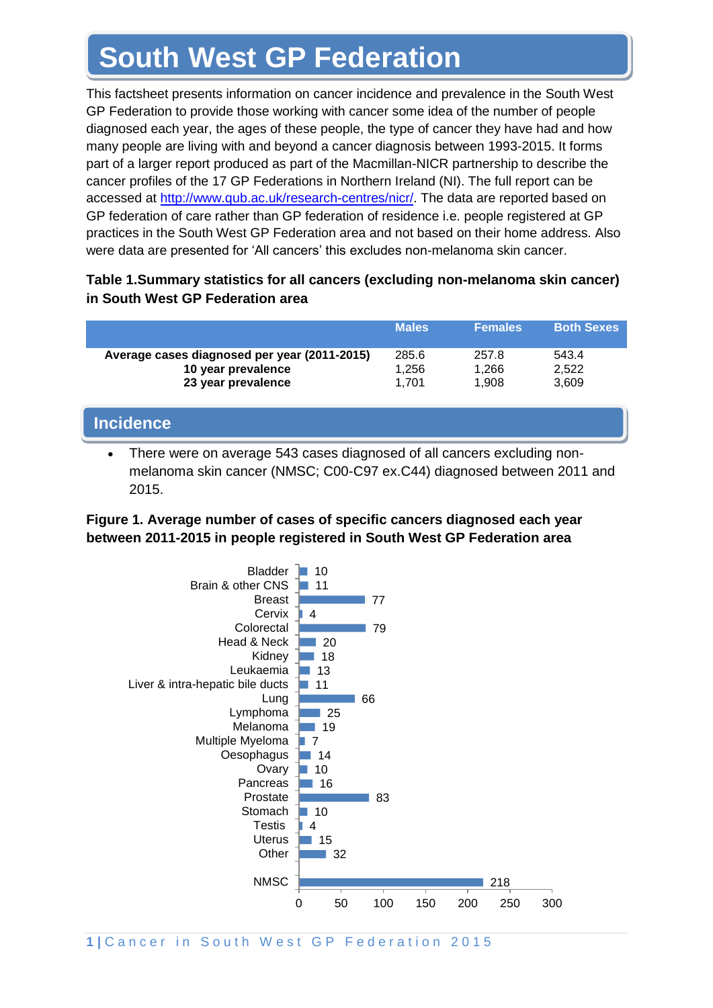## **South West GP Federation**

This factsheet presents information on cancer incidence and prevalence in the South West GP Federation to provide those working with cancer some idea of the number of people diagnosed each year, the ages of these people, the type of cancer they have had and how many people are living with and beyond a cancer diagnosis between 1993-2015. It forms part of a larger report produced as part of the Macmillan-NICR partnership to describe the cancer profiles of the 17 GP Federations in Northern Ireland (NI). The full report can be accessed at [http://www.qub.ac.uk/research-centres/nicr/.](http://www.qub.ac.uk/research-centres/nicr/) The data are reported based on GP federation of care rather than GP federation of residence i.e. people registered at GP practices in the South West GP Federation area and not based on their home address. Also were data are presented for 'All cancers' this excludes non-melanoma skin cancer.

#### **Table 1.Summary statistics for all cancers (excluding non-melanoma skin cancer) in South West GP Federation area**

|                                                                    | <b>Males</b>   | <b>Females</b> | <b>Both Sexes</b> |
|--------------------------------------------------------------------|----------------|----------------|-------------------|
| Average cases diagnosed per year (2011-2015)<br>10 year prevalence | 285.6<br>1.256 | 257.8<br>1,266 | 543.4<br>2,522    |
| 23 year prevalence                                                 | 1.701          | 1.908          | 3,609             |

# **Incidence**

• There were on average 543 cases diagnosed of all cancers excluding nonmelanoma skin cancer (NMSC; C00-C97 ex.C44) diagnosed between 2011 and 2015.

#### **Figure 1. Average number of cases of specific cancers diagnosed each year between 2011-2015 in people registered in South West GP Federation area**

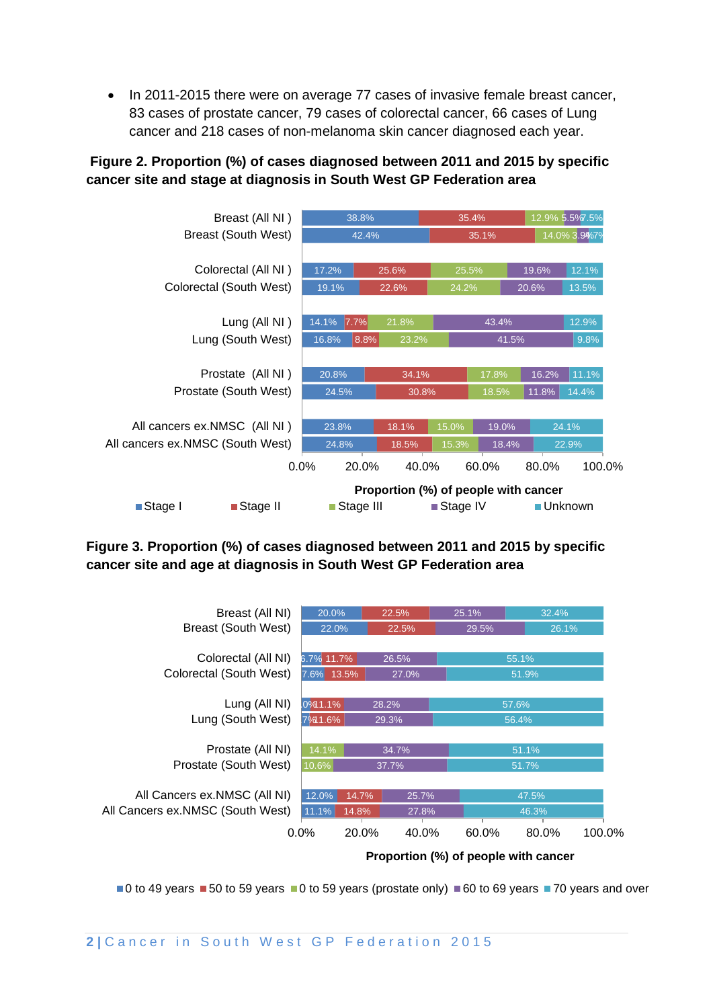• In 2011-2015 there were on average 77 cases of invasive female breast cancer, 83 cases of prostate cancer, 79 cases of colorectal cancer, 66 cases of Lung cancer and 218 cases of non-melanoma skin cancer diagnosed each year.

#### **Figure 2. Proportion (%) of cases diagnosed between 2011 and 2015 by specific cancer site and stage at diagnosis in South West GP Federation area**



#### **Figure 3. Proportion (%) of cases diagnosed between 2011 and 2015 by specific cancer site and age at diagnosis in South West GP Federation area**



 $\blacksquare$ 0 to 49 years  $\blacksquare$  50 to 59 years  $\blacksquare$ 0 to 59 years (prostate only)  $\blacksquare$  60 to 69 years  $\blacksquare$  70 years and over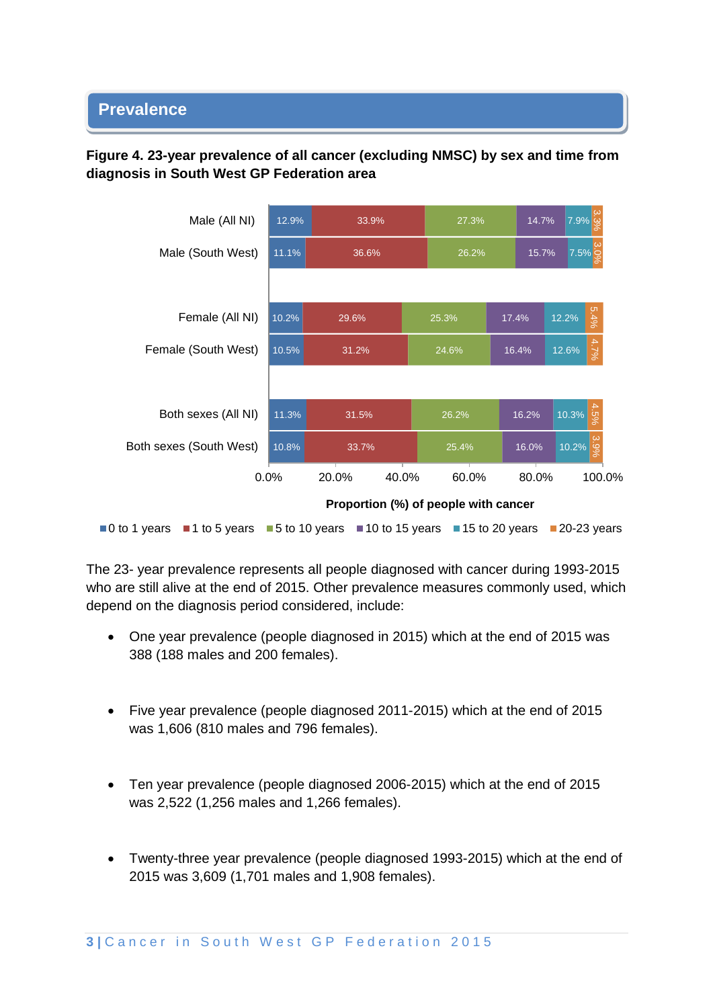#### • **Prevalence**

#### **Figure 4. 23-year prevalence of all cancer (excluding NMSC) by sex and time from diagnosis in South West GP Federation area**



The 23- year prevalence represents all people diagnosed with cancer during 1993-2015 who are still alive at the end of 2015. Other prevalence measures commonly used, which depend on the diagnosis period considered, include:

- One year prevalence (people diagnosed in 2015) which at the end of 2015 was 388 (188 males and 200 females).
- Five year prevalence (people diagnosed 2011-2015) which at the end of 2015 was 1,606 (810 males and 796 females).
- Ten year prevalence (people diagnosed 2006-2015) which at the end of 2015 was 2,522 (1,256 males and 1,266 females).
- Twenty-three year prevalence (people diagnosed 1993-2015) which at the end of 2015 was 3,609 (1,701 males and 1,908 females).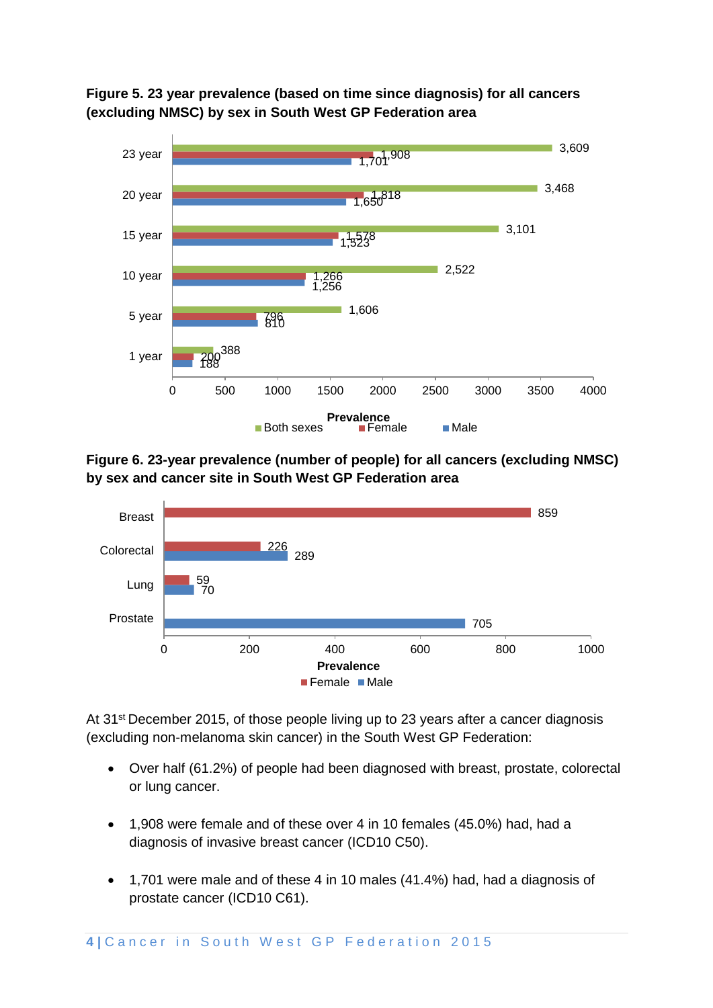**Figure 5. 23 year prevalence (based on time since diagnosis) for all cancers (excluding NMSC) by sex in South West GP Federation area**



**Figure 6. 23-year prevalence (number of people) for all cancers (excluding NMSC) by sex and cancer site in South West GP Federation area**



At 31<sup>st</sup> December 2015, of those people living up to 23 years after a cancer diagnosis (excluding non-melanoma skin cancer) in the South West GP Federation:

- Over half (61.2%) of people had been diagnosed with breast, prostate, colorectal or lung cancer.
- 1,908 were female and of these over 4 in 10 females (45.0%) had, had a diagnosis of invasive breast cancer (ICD10 C50).
- 1,701 were male and of these 4 in 10 males (41.4%) had, had a diagnosis of prostate cancer (ICD10 C61).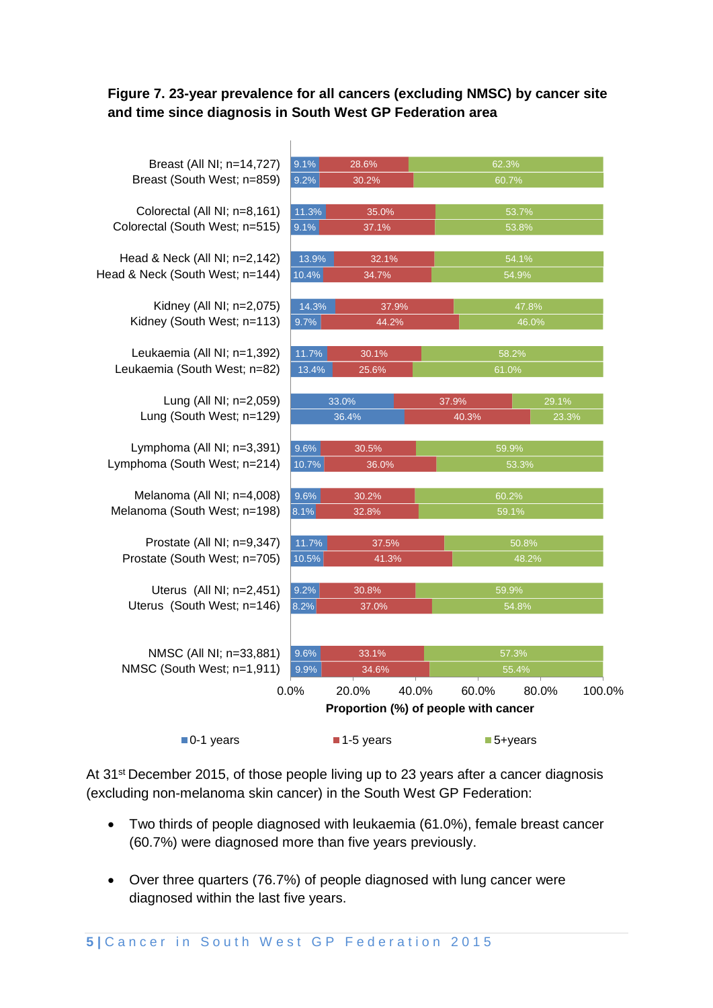#### **Figure 7. 23-year prevalence for all cancers (excluding NMSC) by cancer site and time since diagnosis in South West GP Federation area**

 $\mathbf{r}$ 

| Breast (All NI; n=14,727)       | 9.1%                                 | 28.6%          |                | 62.3%                  |       |        |  |  |
|---------------------------------|--------------------------------------|----------------|----------------|------------------------|-------|--------|--|--|
| Breast (South West; n=859)      | 9.2%                                 | 30.2%          |                | 60.7%                  |       |        |  |  |
|                                 |                                      |                |                |                        |       |        |  |  |
| Colorectal (All NI; n=8,161)    |                                      | 11.3%<br>35.0% |                | 53.7%                  |       |        |  |  |
| Colorectal (South West; n=515)  | 9.1%                                 | 37.1%          |                | 53.8%                  |       |        |  |  |
| Head & Neck (All NI; n=2,142)   | 13.9%                                | 32.1%          |                | 54.1%                  |       |        |  |  |
| Head & Neck (South West; n=144) | 10.4%                                | 34.7%          |                | 54.9%                  |       |        |  |  |
|                                 |                                      |                |                |                        |       |        |  |  |
| Kidney (All NI; n=2,075)        | 14.3%                                |                | 37.9%          |                        |       | 47.8%  |  |  |
| Kidney (South West; n=113)      | 9.7%                                 | 44.2%          |                | 46.0%                  |       |        |  |  |
| Leukaemia (All NI; n=1,392)     | 11.7%                                | 30.1%          |                | 58.2%                  |       |        |  |  |
| Leukaemia (South West; n=82)    | 13.4%                                | 25.6%          |                | 61.0%                  |       |        |  |  |
|                                 |                                      |                |                |                        |       |        |  |  |
| Lung (All NI; n=2,059)          | 33.0%                                |                |                | 37.9%                  | 29.1% |        |  |  |
| Lung (South West; n=129)        | 36.4%                                |                |                | 40.3%                  | 23.3% |        |  |  |
|                                 |                                      |                |                |                        |       |        |  |  |
| Lymphoma (All NI; n=3,391)      |                                      | 9.6%<br>30.5%  |                | 59.9%                  |       |        |  |  |
| Lymphoma (South West; n=214)    | 10.7%                                | 36.0%<br>53.3% |                |                        |       |        |  |  |
| Melanoma (All NI; n=4,008)      | 9.6%                                 | 30.2%          |                | 60.2%                  |       |        |  |  |
| Melanoma (South West; n=198)    | 8.1%                                 | 32.8%          |                |                        | 59.1% |        |  |  |
|                                 |                                      |                |                |                        |       |        |  |  |
| Prostate (All NI; n=9,347)      | 11.7%                                |                | 50.8%<br>37.5% |                        |       |        |  |  |
| Prostate (South West; n=705)    | 10.5%                                | 41.3%          |                | 48.2%                  |       |        |  |  |
| Uterus (All NI; n=2,451)        | 9.2%                                 | 30.8%          |                | 59.9%                  |       |        |  |  |
| Uterus (South West; n=146)      | 8.2%                                 | 37.0%          |                | 54.8%                  |       |        |  |  |
|                                 |                                      |                |                |                        |       |        |  |  |
|                                 |                                      |                |                |                        |       |        |  |  |
| NMSC (All NI; n=33,881)         | 9.6%                                 | 33.1%          |                | 57.3%                  |       |        |  |  |
| NMSC (South West; n=1,911)      | 9.9%                                 | 34.6%          |                |                        | 55.4% |        |  |  |
|                                 | 0.0%                                 | 20.0%          | 40.0%          | 60.0%                  | 80.0% | 100.0% |  |  |
|                                 | Proportion (%) of people with cancer |                |                |                        |       |        |  |  |
| $\blacksquare$ 0-1 years        |                                      | 1-5 years      |                | $\blacksquare$ 5+years |       |        |  |  |

At 31<sup>st</sup> December 2015, of those people living up to 23 years after a cancer diagnosis (excluding non-melanoma skin cancer) in the South West GP Federation:

- Two thirds of people diagnosed with leukaemia (61.0%), female breast cancer (60.7%) were diagnosed more than five years previously.
- Over three quarters (76.7%) of people diagnosed with lung cancer were diagnosed within the last five years.